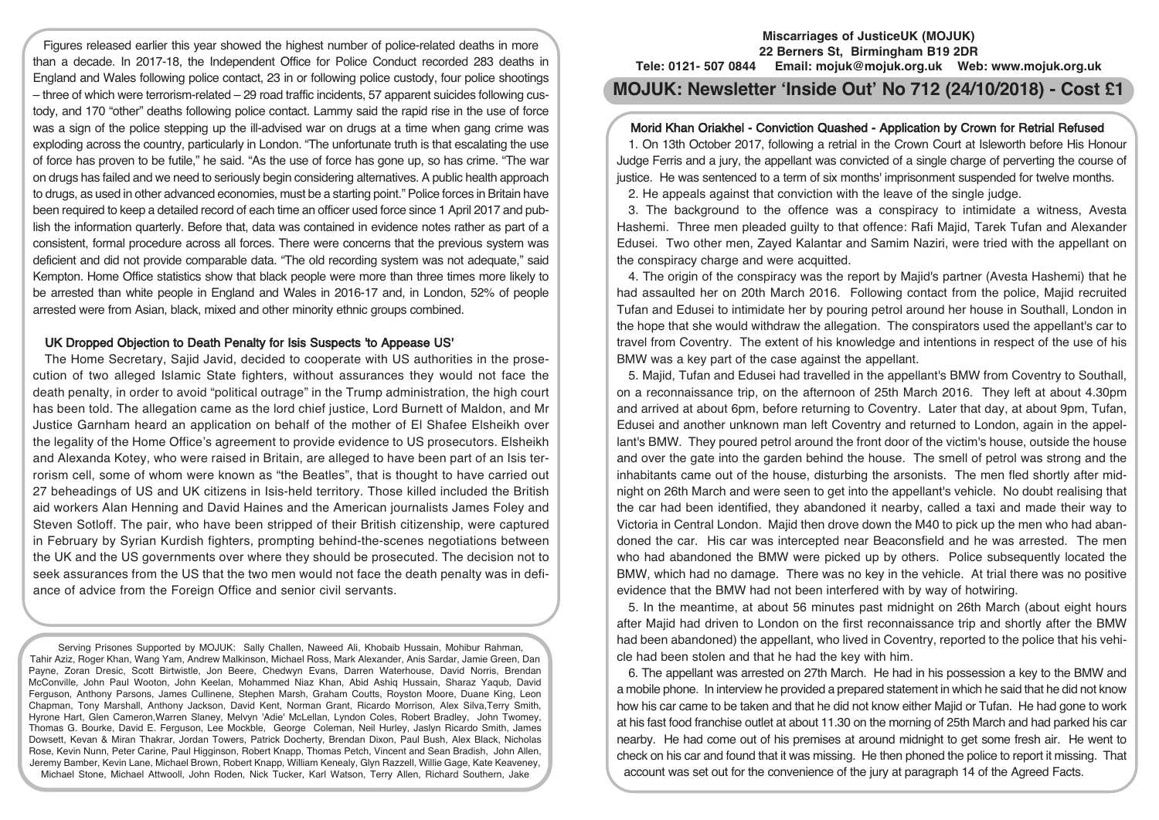Figures released earlier this year showed the highest number of police-related deaths in more than a decade. In 2017-18, the Independent Office for Police Conduct recorded 283 deaths in England and Wales following police contact, 23 in or following police custody, four police shootings – three of which were terrorism-related – 29 road traffic incidents, 57 apparent suicides following custody, and 170 "other" deaths following police contact. Lammy said the rapid rise in the use of force was a sign of the police stepping up the ill-advised war on drugs at a time when gang crime was exploding across the country, particularly in London. "The unfortunate truth is that escalating the use of force has proven to be futile," he said. "As the use of force has gone up, so has crime. "The war on drugs has failed and we need to seriously begin considering alternatives. A public health approach to drugs, as used in other advanced economies, must be a starting point." Police forces in Britain have been required to keep a detailed record of each time an officer used force since 1 April 2017 and publish the information quarterly. Before that, data was contained in evidence notes rather as part of a consistent, formal procedure across all forces. There were concerns that the previous system was deficient and did not provide comparable data. "The old recording system was not adequate," said Kempton. Home Office statistics show that black people were more than three times more likely to be arrested than white people in England and Wales in 2016-17 and, in London, 52% of people arrested were from Asian, black, mixed and other minority ethnic groups combined.

### UK Dropped Objection to Death Penalty for Isis Suspects 'to Appease US'

The Home Secretary, Sajid Javid, decided to cooperate with US authorities in the prosecution of two alleged Islamic State fighters, without assurances they would not face the death penalty, in order to avoid "political outrage" in the Trump administration, the high court has been told. The allegation came as the lord chief justice, Lord Burnett of Maldon, and Mr Justice Garnham heard an application on behalf of the mother of El Shafee Elsheikh over the legality of the Home Office's agreement to provide evidence to US prosecutors. Elsheikh and Alexanda Kotey, who were raised in Britain, are alleged to have been part of an Isis terrorism cell, some of whom were known as "the Beatles", that is thought to have carried out 27 beheadings of US and UK citizens in Isis-held territory. Those killed included the British aid workers Alan Henning and David Haines and the American journalists James Foley and Steven Sotloff. The pair, who have been stripped of their British citizenship, were captured in February by Syrian Kurdish fighters, prompting behind-the-scenes negotiations between the UK and the US governments over where they should be prosecuted. The decision not to seek assurances from the US that the two men would not face the death penalty was in defiance of advice from the Foreign Office and senior civil servants.

Serving Prisones Supported by MOJUK: Sally Challen, Naweed Ali, Khobaib Hussain, Mohibur Rahman, Tahir Aziz, Roger Khan, Wang Yam, Andrew Malkinson, Michael Ross, Mark Alexander, Anis Sardar, Jamie Green, Dan Payne, Zoran Dresic, Scott Birtwistle, Jon Beere, Chedwyn Evans, Darren Waterhouse, David Norris, Brendan McConville, John Paul Wooton, John Keelan, Mohammed Niaz Khan, Abid Ashiq Hussain, Sharaz Yaqub, David Ferguson, Anthony Parsons, James Cullinene, Stephen Marsh, Graham Coutts, Royston Moore, Duane King, Leon Chapman, Tony Marshall, Anthony Jackson, David Kent, Norman Grant, Ricardo Morrison, Alex Silva,Terry Smith, Hyrone Hart, Glen Cameron,Warren Slaney, Melvyn 'Adie' McLellan, Lyndon Coles, Robert Bradley, John Twomey, Thomas G. Bourke, David E. Ferguson, Lee Mockble, George Coleman, Neil Hurley, Jaslyn Ricardo Smith, James Dowsett, Kevan & Miran Thakrar, Jordan Towers, Patrick Docherty, Brendan Dixon, Paul Bush, Alex Black, Nicholas Rose, Kevin Nunn, Peter Carine, Paul Higginson, Robert Knapp, Thomas Petch, Vincent and Sean Bradish, John Allen, Jeremy Bamber, Kevin Lane, Michael Brown, Robert Knapp, William Kenealy, Glyn Razzell, Willie Gage, Kate Keaveney, Michael Stone, Michael Attwooll, John Roden, Nick Tucker, Karl Watson, Terry Allen, Richard Southern, Jake

## **Miscarriages of JusticeUK (MOJUK) 22 Berners St, Birmingham B19 2DR**

**Tele: 0121- 507 0844 Email: mojuk@mojuk.org.uk Web: www.mojuk.org.uk**

# **MOJUK: Newsletter 'Inside Out' No 712 (24/10/2018) - Cost £1**

## Morid Khan Oriakhel - Conviction Quashed - Application by Crown for Retrial Refused

1. On 13th October 2017, following a retrial in the Crown Court at Isleworth before His Honour Judge Ferris and a jury, the appellant was convicted of a single charge of perverting the course of justice. He was sentenced to a term of six months' imprisonment suspended for twelve months.

2. He appeals against that conviction with the leave of the single judge.

3. The background to the offence was a conspiracy to intimidate a witness, Avesta Hashemi. Three men pleaded guilty to that offence: Rafi Majid, Tarek Tufan and Alexander Edusei. Two other men, Zayed Kalantar and Samim Naziri, were tried with the appellant on the conspiracy charge and were acquitted.

4. The origin of the conspiracy was the report by Majid's partner (Avesta Hashemi) that he had assaulted her on 20th March 2016. Following contact from the police, Majid recruited Tufan and Edusei to intimidate her by pouring petrol around her house in Southall, London in the hope that she would withdraw the allegation. The conspirators used the appellant's car to travel from Coventry. The extent of his knowledge and intentions in respect of the use of his BMW was a key part of the case against the appellant.

5. Majid, Tufan and Edusei had travelled in the appellant's BMW from Coventry to Southall, on a reconnaissance trip, on the afternoon of 25th March 2016. They left at about 4.30pm and arrived at about 6pm, before returning to Coventry. Later that day, at about 9pm, Tufan, Edusei and another unknown man left Coventry and returned to London, again in the appellant's BMW. They poured petrol around the front door of the victim's house, outside the house and over the gate into the garden behind the house. The smell of petrol was strong and the inhabitants came out of the house, disturbing the arsonists. The men fled shortly after midnight on 26th March and were seen to get into the appellant's vehicle. No doubt realising that the car had been identified, they abandoned it nearby, called a taxi and made their way to Victoria in Central London. Majid then drove down the M40 to pick up the men who had abandoned the car. His car was intercepted near Beaconsfield and he was arrested. The men who had abandoned the BMW were picked up by others. Police subsequently located the BMW, which had no damage. There was no key in the vehicle. At trial there was no positive evidence that the BMW had not been interfered with by way of hotwiring.

5. In the meantime, at about 56 minutes past midnight on 26th March (about eight hours after Majid had driven to London on the first reconnaissance trip and shortly after the BMW had been abandoned) the appellant, who lived in Coventry, reported to the police that his vehicle had been stolen and that he had the key with him.

6. The appellant was arrested on 27th March. He had in his possession a key to the BMW and a mobile phone. In interview he provided a prepared statement in which he said that he did not know how his car came to be taken and that he did not know either Majid or Tufan. He had gone to work at his fast food franchise outlet at about 11.30 on the morning of 25th March and had parked his car nearby. He had come out of his premises at around midnight to get some fresh air. He went to check on his car and found that it was missing. He then phoned the police to report it missing. That account was set out for the convenience of the jury at paragraph 14 of the Agreed Facts.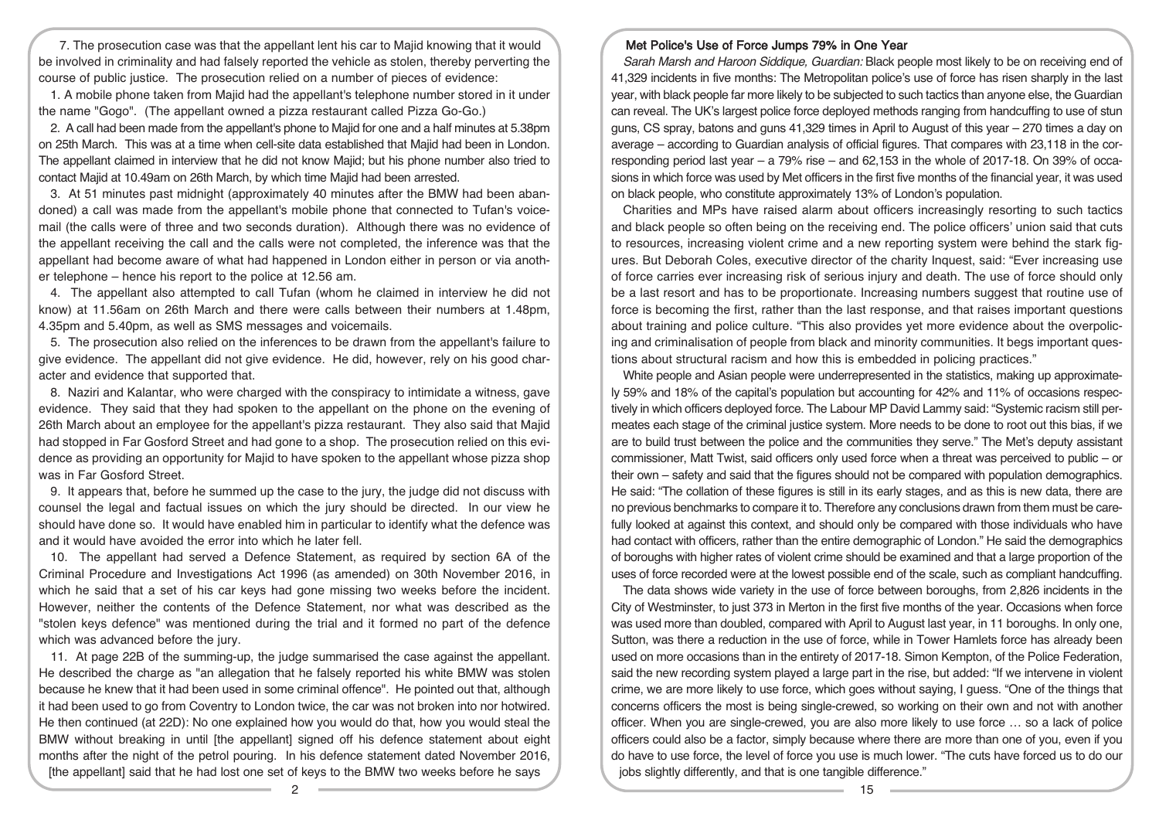7. The prosecution case was that the appellant lent his car to Majid knowing that it would be involved in criminality and had falsely reported the vehicle as stolen, thereby perverting the course of public justice. The prosecution relied on a number of pieces of evidence:

1. A mobile phone taken from Majid had the appellant's telephone number stored in it under the name "Gogo". (The appellant owned a pizza restaurant called Pizza Go-Go.)

2. A call had been made from the appellant's phone to Majid for one and a half minutes at 5.38pm on 25th March. This was at a time when cell-site data established that Majid had been in London. The appellant claimed in interview that he did not know Majid; but his phone number also tried to contact Majid at 10.49am on 26th March, by which time Majid had been arrested.

3. At 51 minutes past midnight (approximately 40 minutes after the BMW had been abandoned) a call was made from the appellant's mobile phone that connected to Tufan's voicemail (the calls were of three and two seconds duration). Although there was no evidence of the appellant receiving the call and the calls were not completed, the inference was that the appellant had become aware of what had happened in London either in person or via another telephone – hence his report to the police at 12.56 am.

4. The appellant also attempted to call Tufan (whom he claimed in interview he did not know) at 11.56am on 26th March and there were calls between their numbers at 1.48pm, 4.35pm and 5.40pm, as well as SMS messages and voicemails.

5. The prosecution also relied on the inferences to be drawn from the appellant's failure to give evidence. The appellant did not give evidence. He did, however, rely on his good character and evidence that supported that.

8. Naziri and Kalantar, who were charged with the conspiracy to intimidate a witness, gave evidence. They said that they had spoken to the appellant on the phone on the evening of 26th March about an employee for the appellant's pizza restaurant. They also said that Majid had stopped in Far Gosford Street and had gone to a shop. The prosecution relied on this evidence as providing an opportunity for Majid to have spoken to the appellant whose pizza shop was in Far Gosford Street.

9. It appears that, before he summed up the case to the jury, the judge did not discuss with counsel the legal and factual issues on which the jury should be directed. In our view he should have done so. It would have enabled him in particular to identify what the defence was and it would have avoided the error into which he later fell.

10. The appellant had served a Defence Statement, as required by section 6A of the Criminal Procedure and Investigations Act 1996 (as amended) on 30th November 2016, in which he said that a set of his car keys had gone missing two weeks before the incident. However, neither the contents of the Defence Statement, nor what was described as the "stolen keys defence" was mentioned during the trial and it formed no part of the defence which was advanced before the jury.

11. At page 22B of the summing-up, the judge summarised the case against the appellant. He described the charge as "an allegation that he falsely reported his white BMW was stolen because he knew that it had been used in some criminal offence". He pointed out that, although it had been used to go from Coventry to London twice, the car was not broken into nor hotwired. He then continued (at 22D): No one explained how you would do that, how you would steal the BMW without breaking in until [the appellant] signed off his defence statement about eight months after the night of the petrol pouring. In his defence statement dated November 2016, [the appellant] said that he had lost one set of keys to the BMW two weeks before he says

#### Met Police's Use of Force Jumps 79% in One Year

Sarah Marsh and Haroon Siddique, Guardian: Black people most likely to be on receiving end of 41,329 incidents in five months: The Metropolitan police's use of force has risen sharply in the last year, with black people far more likely to be subjected to such tactics than anyone else, the Guardian can reveal. The UK's largest police force deployed methods ranging from handcuffing to use of stun guns, CS spray, batons and guns 41,329 times in April to August of this year – 270 times a day on average – according to Guardian analysis of official figures. That compares with 23,118 in the corresponding period last year – a 79% rise – and 62,153 in the whole of 2017-18. On 39% of occasions in which force was used by Met officers in the first five months of the financial year, it was used on black people, who constitute approximately 13% of London's population.

Charities and MPs have raised alarm about officers increasingly resorting to such tactics and black people so often being on the receiving end. The police officers' union said that cuts to resources, increasing violent crime and a new reporting system were behind the stark figures. But Deborah Coles, executive director of the charity Inquest, said: "Ever increasing use of force carries ever increasing risk of serious injury and death. The use of force should only be a last resort and has to be proportionate. Increasing numbers suggest that routine use of force is becoming the first, rather than the last response, and that raises important questions about training and police culture. "This also provides yet more evidence about the overpolicing and criminalisation of people from black and minority communities. It begs important questions about structural racism and how this is embedded in policing practices."

White people and Asian people were underrepresented in the statistics, making up approximately 59% and 18% of the capital's population but accounting for 42% and 11% of occasions respectively in which officers deployed force. The Labour MP David Lammy said: "Systemic racism still permeates each stage of the criminal justice system. More needs to be done to root out this bias, if we are to build trust between the police and the communities they serve." The Met's deputy assistant commissioner, Matt Twist, said officers only used force when a threat was perceived to public – or their own – safety and said that the figures should not be compared with population demographics. He said: "The collation of these figures is still in its early stages, and as this is new data, there are no previous benchmarks to compare it to. Therefore any conclusions drawn from them must be carefully looked at against this context, and should only be compared with those individuals who have had contact with officers, rather than the entire demographic of London." He said the demographics of boroughs with higher rates of violent crime should be examined and that a large proportion of the uses of force recorded were at the lowest possible end of the scale, such as compliant handcuffing.

The data shows wide variety in the use of force between boroughs, from 2,826 incidents in the City of Westminster, to just 373 in Merton in the first five months of the year. Occasions when force was used more than doubled, compared with April to August last year, in 11 boroughs. In only one, Sutton, was there a reduction in the use of force, while in Tower Hamlets force has already been used on more occasions than in the entirety of 2017-18. Simon Kempton, of the Police Federation, said the new recording system played a large part in the rise, but added: "If we intervene in violent crime, we are more likely to use force, which goes without saying, I guess. "One of the things that concerns officers the most is being single-crewed, so working on their own and not with another officer. When you are single-crewed, you are also more likely to use force … so a lack of police officers could also be a factor, simply because where there are more than one of you, even if you do have to use force, the level of force you use is much lower. "The cuts have forced us to do our jobs slightly differently, and that is one tangible difference."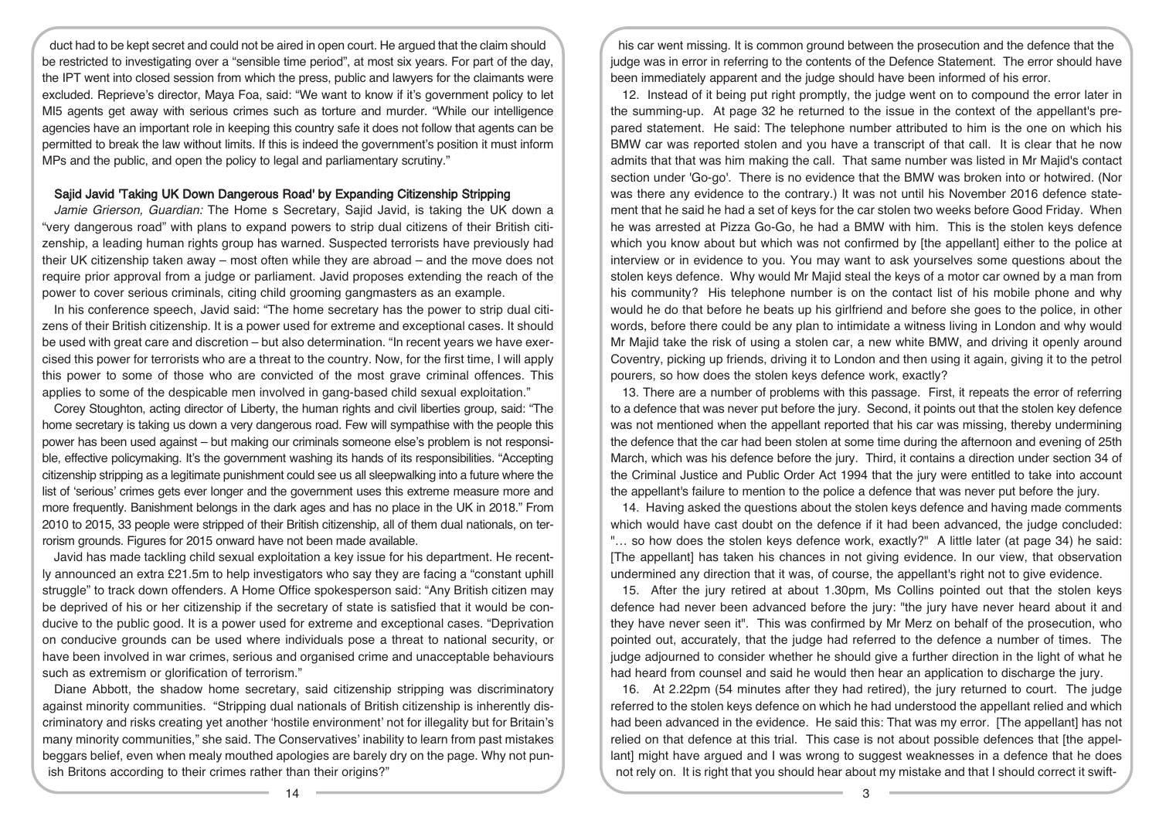duct had to be kept secret and could not be aired in open court. He argued that the claim should be restricted to investigating over a "sensible time period", at most six years. For part of the day, the IPT went into closed session from which the press, public and lawyers for the claimants were excluded. Reprieve's director, Maya Foa, said: "We want to know if it's government policy to let MI5 agents get away with serious crimes such as torture and murder. "While our intelligence agencies have an important role in keeping this country safe it does not follow that agents can be permitted to break the law without limits. If this is indeed the government's position it must inform MPs and the public, and open the policy to legal and parliamentary scrutiny."

#### Sajid Javid 'Taking UK Down Dangerous Road' by Expanding Citizenship Stripping

Jamie Grierson, Guardian: The Home s Secretary, Sajid Javid, is taking the UK down a "very dangerous road" with plans to expand powers to strip dual citizens of their British citizenship, a leading human rights group has warned. Suspected terrorists have previously had their UK citizenship taken away – most often while they are abroad – and the move does not require prior approval from a judge or parliament. Javid proposes extending the reach of the power to cover serious criminals, citing child grooming gangmasters as an example.

In his conference speech, Javid said: "The home secretary has the power to strip dual citizens of their British citizenship. It is a power used for extreme and exceptional cases. It should be used with great care and discretion – but also determination. "In recent years we have exercised this power for terrorists who are a threat to the country. Now, for the first time, I will apply this power to some of those who are convicted of the most grave criminal offences. This applies to some of the despicable men involved in gang-based child sexual exploitation."

Corey Stoughton, acting director of Liberty, the human rights and civil liberties group, said: "The home secretary is taking us down a very dangerous road. Few will sympathise with the people this power has been used against – but making our criminals someone else's problem is not responsible, effective policymaking. It's the government washing its hands of its responsibilities. "Accepting citizenship stripping as a legitimate punishment could see us all sleepwalking into a future where the list of 'serious' crimes gets ever longer and the government uses this extreme measure more and more frequently. Banishment belongs in the dark ages and has no place in the UK in 2018." From 2010 to 2015, 33 people were stripped of their British citizenship, all of them dual nationals, on terrorism grounds. Figures for 2015 onward have not been made available.

Javid has made tackling child sexual exploitation a key issue for his department. He recently announced an extra £21.5m to help investigators who say they are facing a "constant uphill struggle" to track down offenders. A Home Office spokesperson said: "Any British citizen may be deprived of his or her citizenship if the secretary of state is satisfied that it would be conducive to the public good. It is a power used for extreme and exceptional cases. "Deprivation on conducive grounds can be used where individuals pose a threat to national security, or have been involved in war crimes, serious and organised crime and unacceptable behaviours such as extremism or glorification of terrorism."

Diane Abbott, the shadow home secretary, said citizenship stripping was discriminatory against minority communities. "Stripping dual nationals of British citizenship is inherently discriminatory and risks creating yet another 'hostile environment' not for illegality but for Britain's many minority communities," she said. The Conservatives' inability to learn from past mistakes beggars belief, even when mealy mouthed apologies are barely dry on the page. Why not punish Britons according to their crimes rather than their origins?"

his car went missing. It is common ground between the prosecution and the defence that the judge was in error in referring to the contents of the Defence Statement. The error should have been immediately apparent and the judge should have been informed of his error.

12. Instead of it being put right promptly, the judge went on to compound the error later in the summing-up. At page 32 he returned to the issue in the context of the appellant's prepared statement. He said: The telephone number attributed to him is the one on which his BMW car was reported stolen and you have a transcript of that call. It is clear that he now admits that that was him making the call. That same number was listed in Mr Majid's contact section under 'Go-go'. There is no evidence that the BMW was broken into or hotwired. (Nor was there any evidence to the contrary.) It was not until his November 2016 defence statement that he said he had a set of keys for the car stolen two weeks before Good Friday. When he was arrested at Pizza Go-Go, he had a BMW with him. This is the stolen keys defence which you know about but which was not confirmed by [the appellant] either to the police at interview or in evidence to you. You may want to ask yourselves some questions about the stolen keys defence. Why would Mr Majid steal the keys of a motor car owned by a man from his community? His telephone number is on the contact list of his mobile phone and why would he do that before he beats up his girlfriend and before she goes to the police, in other words, before there could be any plan to intimidate a witness living in London and why would Mr Majid take the risk of using a stolen car, a new white BMW, and driving it openly around Coventry, picking up friends, driving it to London and then using it again, giving it to the petrol pourers, so how does the stolen keys defence work, exactly?

13. There are a number of problems with this passage. First, it repeats the error of referring to a defence that was never put before the jury. Second, it points out that the stolen key defence was not mentioned when the appellant reported that his car was missing, thereby undermining the defence that the car had been stolen at some time during the afternoon and evening of 25th March, which was his defence before the jury. Third, it contains a direction under section 34 of the Criminal Justice and Public Order Act 1994 that the jury were entitled to take into account the appellant's failure to mention to the police a defence that was never put before the jury.

14. Having asked the questions about the stolen keys defence and having made comments which would have cast doubt on the defence if it had been advanced, the judge concluded: "… so how does the stolen keys defence work, exactly?" A little later (at page 34) he said: [The appellant] has taken his chances in not giving evidence. In our view, that observation undermined any direction that it was, of course, the appellant's right not to give evidence.

15. After the jury retired at about 1.30pm, Ms Collins pointed out that the stolen keys defence had never been advanced before the jury: "the jury have never heard about it and they have never seen it". This was confirmed by Mr Merz on behalf of the prosecution, who pointed out, accurately, that the judge had referred to the defence a number of times. The judge adjourned to consider whether he should give a further direction in the light of what he had heard from counsel and said he would then hear an application to discharge the jury.

16. At 2.22pm (54 minutes after they had retired), the jury returned to court. The judge referred to the stolen keys defence on which he had understood the appellant relied and which had been advanced in the evidence. He said this: That was my error. [The appellant] has not relied on that defence at this trial. This case is not about possible defences that [the appellant] might have argued and I was wrong to suggest weaknesses in a defence that he does not rely on. It is right that you should hear about my mistake and that I should correct it swift-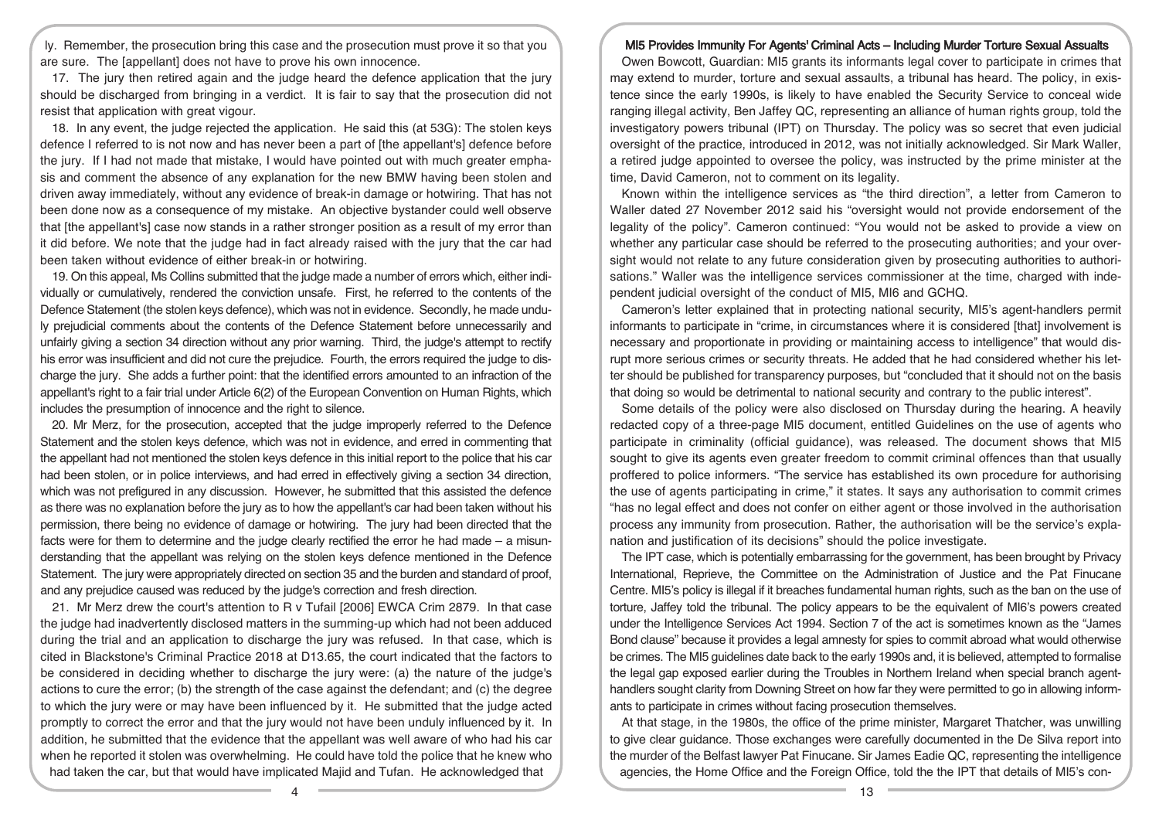ly. Remember, the prosecution bring this case and the prosecution must prove it so that you are sure. The [appellant] does not have to prove his own innocence.

17. The jury then retired again and the judge heard the defence application that the jury should be discharged from bringing in a verdict. It is fair to say that the prosecution did not resist that application with great vigour.

18. In any event, the judge rejected the application. He said this (at 53G): The stolen keys defence I referred to is not now and has never been a part of [the appellant's] defence before the jury. If I had not made that mistake, I would have pointed out with much greater emphasis and comment the absence of any explanation for the new BMW having been stolen and driven away immediately, without any evidence of break-in damage or hotwiring. That has not been done now as a consequence of my mistake. An objective bystander could well observe that [the appellant's] case now stands in a rather stronger position as a result of my error than it did before. We note that the judge had in fact already raised with the jury that the car had been taken without evidence of either break-in or hotwiring.

19. On this appeal, Ms Collins submitted that the judge made a number of errors which, either individually or cumulatively, rendered the conviction unsafe. First, he referred to the contents of the Defence Statement (the stolen keys defence), which was not in evidence. Secondly, he made unduly prejudicial comments about the contents of the Defence Statement before unnecessarily and unfairly giving a section 34 direction without any prior warning. Third, the judge's attempt to rectify his error was insufficient and did not cure the prejudice. Fourth, the errors required the judge to discharge the jury. She adds a further point: that the identified errors amounted to an infraction of the appellant's right to a fair trial under Article 6(2) of the European Convention on Human Rights, which includes the presumption of innocence and the right to silence.

20. Mr Merz, for the prosecution, accepted that the judge improperly referred to the Defence Statement and the stolen keys defence, which was not in evidence, and erred in commenting that the appellant had not mentioned the stolen keys defence in this initial report to the police that his car had been stolen, or in police interviews, and had erred in effectively giving a section 34 direction, which was not prefigured in any discussion. However, he submitted that this assisted the defence as there was no explanation before the jury as to how the appellant's car had been taken without his permission, there being no evidence of damage or hotwiring. The jury had been directed that the facts were for them to determine and the judge clearly rectified the error he had made – a misunderstanding that the appellant was relying on the stolen keys defence mentioned in the Defence Statement. The jury were appropriately directed on section 35 and the burden and standard of proof, and any prejudice caused was reduced by the judge's correction and fresh direction.

21. Mr Merz drew the court's attention to R v Tufail [2006] EWCA Crim 2879. In that case the judge had inadvertently disclosed matters in the summing-up which had not been adduced during the trial and an application to discharge the jury was refused. In that case, which is cited in Blackstone's Criminal Practice 2018 at D13.65, the court indicated that the factors to be considered in deciding whether to discharge the jury were: (a) the nature of the judge's actions to cure the error; (b) the strength of the case against the defendant; and (c) the degree to which the jury were or may have been influenced by it. He submitted that the judge acted promptly to correct the error and that the jury would not have been unduly influenced by it. In addition, he submitted that the evidence that the appellant was well aware of who had his car when he reported it stolen was overwhelming. He could have told the police that he knew who had taken the car, but that would have implicated Majid and Tufan. He acknowledged that

### MI5 Provides Immunity For Agents' Criminal Acts – Including Murder Torture Sexual Assualts

Owen Bowcott, Guardian: MI5 grants its informants legal cover to participate in crimes that may extend to murder, torture and sexual assaults, a tribunal has heard. The policy, in existence since the early 1990s, is likely to have enabled the Security Service to conceal wide ranging illegal activity, Ben Jaffey QC, representing an alliance of human rights group, told the investigatory powers tribunal (IPT) on Thursday. The policy was so secret that even judicial oversight of the practice, introduced in 2012, was not initially acknowledged. Sir Mark Waller, a retired judge appointed to oversee the policy, was instructed by the prime minister at the time, David Cameron, not to comment on its legality.

Known within the intelligence services as "the third direction", a letter from Cameron to Waller dated 27 November 2012 said his "oversight would not provide endorsement of the legality of the policy". Cameron continued: "You would not be asked to provide a view on whether any particular case should be referred to the prosecuting authorities; and your oversight would not relate to any future consideration given by prosecuting authorities to authorisations." Waller was the intelligence services commissioner at the time, charged with independent judicial oversight of the conduct of MI5, MI6 and GCHQ.

Cameron's letter explained that in protecting national security, MI5's agent-handlers permit informants to participate in "crime, in circumstances where it is considered [that] involvement is necessary and proportionate in providing or maintaining access to intelligence" that would disrupt more serious crimes or security threats. He added that he had considered whether his letter should be published for transparency purposes, but "concluded that it should not on the basis that doing so would be detrimental to national security and contrary to the public interest".

Some details of the policy were also disclosed on Thursday during the hearing. A heavily redacted copy of a three-page MI5 document, entitled Guidelines on the use of agents who participate in criminality (official guidance), was released. The document shows that MI5 sought to give its agents even greater freedom to commit criminal offences than that usually proffered to police informers. "The service has established its own procedure for authorising the use of agents participating in crime," it states. It says any authorisation to commit crimes "has no legal effect and does not confer on either agent or those involved in the authorisation process any immunity from prosecution. Rather, the authorisation will be the service's explanation and justification of its decisions" should the police investigate.

The IPT case, which is potentially embarrassing for the government, has been brought by Privacy International, Reprieve, the Committee on the Administration of Justice and the Pat Finucane Centre. MI5's policy is illegal if it breaches fundamental human rights, such as the ban on the use of torture, Jaffey told the tribunal. The policy appears to be the equivalent of MI6's powers created under the Intelligence Services Act 1994. Section 7 of the act is sometimes known as the "James Bond clause" because it provides a legal amnesty for spies to commit abroad what would otherwise be crimes. The MI5 guidelines date back to the early 1990s and, it is believed, attempted to formalise the legal gap exposed earlier during the Troubles in Northern Ireland when special branch agenthandlers sought clarity from Downing Street on how far they were permitted to go in allowing informants to participate in crimes without facing prosecution themselves.

At that stage, in the 1980s, the office of the prime minister, Margaret Thatcher, was unwilling to give clear guidance. Those exchanges were carefully documented in the De Silva report into the murder of the Belfast lawyer Pat Finucane. Sir James Eadie QC, representing the intelligence agencies, the Home Office and the Foreign Office, told the the IPT that details of MI5's con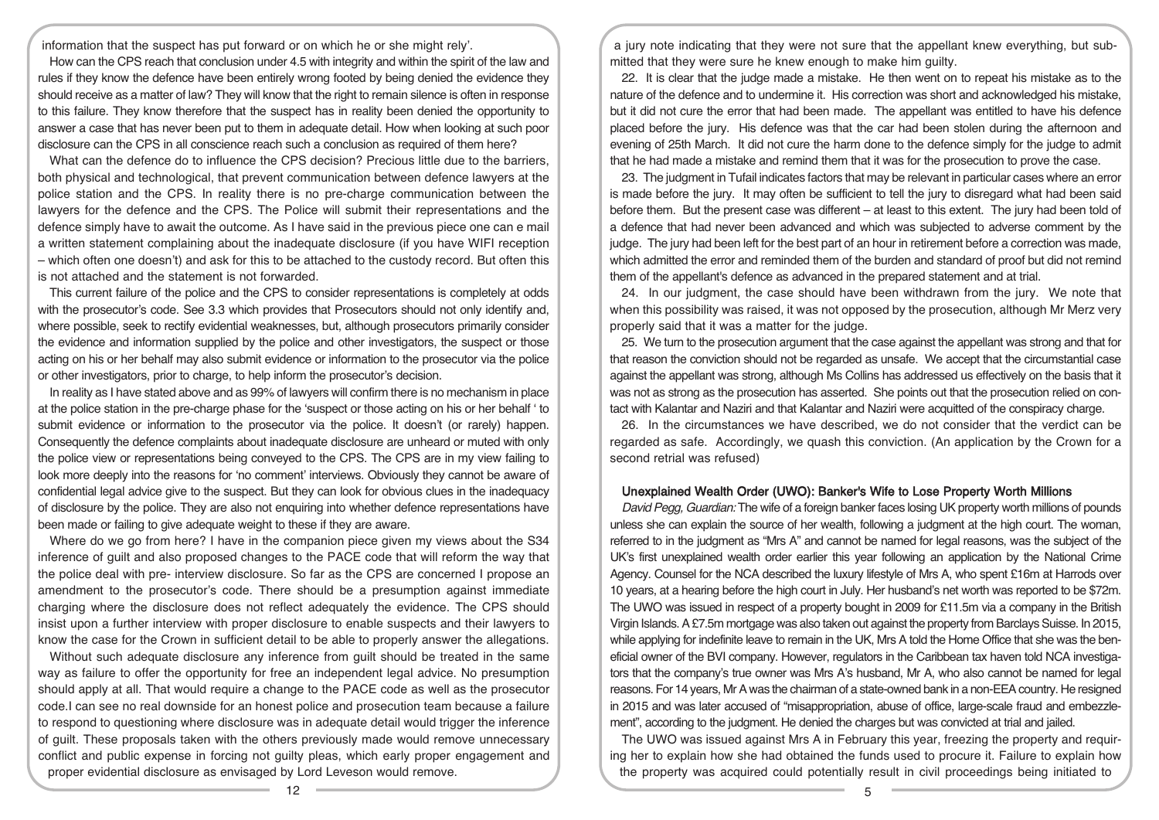information that the suspect has put forward or on which he or she might rely'.

How can the CPS reach that conclusion under 4.5 with integrity and within the spirit of the law and rules if they know the defence have been entirely wrong footed by being denied the evidence they should receive as a matter of law? They will know that the right to remain silence is often in response to this failure. They know therefore that the suspect has in reality been denied the opportunity to answer a case that has never been put to them in adequate detail. How when looking at such poor disclosure can the CPS in all conscience reach such a conclusion as required of them here?

What can the defence do to influence the CPS decision? Precious little due to the barriers, both physical and technological, that prevent communication between defence lawyers at the police station and the CPS. In reality there is no pre-charge communication between the lawyers for the defence and the CPS. The Police will submit their representations and the defence simply have to await the outcome. As I have said in the previous piece one can e mail a written statement complaining about the inadequate disclosure (if you have WIFI reception – which often one doesn't) and ask for this to be attached to the custody record. But often this is not attached and the statement is not forwarded.

This current failure of the police and the CPS to consider representations is completely at odds with the prosecutor's code. See 3.3 which provides that Prosecutors should not only identify and, where possible, seek to rectify evidential weaknesses, but, although prosecutors primarily consider the evidence and information supplied by the police and other investigators, the suspect or those acting on his or her behalf may also submit evidence or information to the prosecutor via the police or other investigators, prior to charge, to help inform the prosecutor's decision.

In reality as I have stated above and as 99% of lawyers will confirm there is no mechanism in place at the police station in the pre-charge phase for the 'suspect or those acting on his or her behalf ' to submit evidence or information to the prosecutor via the police. It doesn't (or rarely) happen. Consequently the defence complaints about inadequate disclosure are unheard or muted with only the police view or representations being conveyed to the CPS. The CPS are in my view failing to look more deeply into the reasons for 'no comment' interviews. Obviously they cannot be aware of confidential legal advice give to the suspect. But they can look for obvious clues in the inadequacy of disclosure by the police. They are also not enquiring into whether defence representations have been made or failing to give adequate weight to these if they are aware.

Where do we go from here? I have in the companion piece given my views about the S34 inference of guilt and also proposed changes to the PACE code that will reform the way that the police deal with pre- interview disclosure. So far as the CPS are concerned I propose an amendment to the prosecutor's code. There should be a presumption against immediate charging where the disclosure does not reflect adequately the evidence. The CPS should insist upon a further interview with proper disclosure to enable suspects and their lawyers to know the case for the Crown in sufficient detail to be able to properly answer the allegations.

Without such adequate disclosure any inference from guilt should be treated in the same way as failure to offer the opportunity for free an independent legal advice. No presumption should apply at all. That would require a change to the PACE code as well as the prosecutor code.I can see no real downside for an honest police and prosecution team because a failure to respond to questioning where disclosure was in adequate detail would trigger the inference of guilt. These proposals taken with the others previously made would remove unnecessary conflict and public expense in forcing not guilty pleas, which early proper engagement and proper evidential disclosure as envisaged by Lord Leveson would remove.

a jury note indicating that they were not sure that the appellant knew everything, but submitted that they were sure he knew enough to make him guilty.

22. It is clear that the judge made a mistake. He then went on to repeat his mistake as to the nature of the defence and to undermine it. His correction was short and acknowledged his mistake, but it did not cure the error that had been made. The appellant was entitled to have his defence placed before the jury. His defence was that the car had been stolen during the afternoon and evening of 25th March. It did not cure the harm done to the defence simply for the judge to admit that he had made a mistake and remind them that it was for the prosecution to prove the case.

23. The judgment in Tufail indicates factors that may be relevant in particular cases where an error is made before the jury. It may often be sufficient to tell the jury to disregard what had been said before them. But the present case was different – at least to this extent. The jury had been told of a defence that had never been advanced and which was subjected to adverse comment by the judge. The jury had been left for the best part of an hour in retirement before a correction was made, which admitted the error and reminded them of the burden and standard of proof but did not remind them of the appellant's defence as advanced in the prepared statement and at trial.

24. In our judgment, the case should have been withdrawn from the jury. We note that when this possibility was raised, it was not opposed by the prosecution, although Mr Merz very properly said that it was a matter for the judge.

25. We turn to the prosecution argument that the case against the appellant was strong and that for that reason the conviction should not be regarded as unsafe. We accept that the circumstantial case against the appellant was strong, although Ms Collins has addressed us effectively on the basis that it was not as strong as the prosecution has asserted. She points out that the prosecution relied on contact with Kalantar and Naziri and that Kalantar and Naziri were acquitted of the conspiracy charge.

26. In the circumstances we have described, we do not consider that the verdict can be regarded as safe. Accordingly, we quash this conviction. (An application by the Crown for a second retrial was refused)

#### Unexplained Wealth Order (UWO): Banker's Wife to Lose Property Worth Millions

David Pegg, Guardian: The wife of a foreign banker faces losing UK property worth millions of pounds unless she can explain the source of her wealth, following a judgment at the high court. The woman, referred to in the judgment as "Mrs A" and cannot be named for legal reasons, was the subject of the UK's first unexplained wealth order earlier this year following an application by the National Crime Agency. Counsel for the NCA described the luxury lifestyle of Mrs A, who spent £16m at Harrods over 10 years, at a hearing before the high court in July. Her husband's net worth was reported to be \$72m. The UWO was issued in respect of a property bought in 2009 for £11.5m via a company in the British Virgin Islands. A £7.5m mortgage was also taken out against the property from Barclays Suisse. In 2015, while applying for indefinite leave to remain in the UK, Mrs A told the Home Office that she was the beneficial owner of the BVI company. However, regulators in the Caribbean tax haven told NCA investigators that the company's true owner was Mrs A's husband, Mr A, who also cannot be named for legal reasons. For 14 years, Mr A was the chairman of a state-owned bank in a non-EEA country. He resigned in 2015 and was later accused of "misappropriation, abuse of office, large-scale fraud and embezzlement", according to the judgment. He denied the charges but was convicted at trial and jailed.

The UWO was issued against Mrs A in February this year, freezing the property and requiring her to explain how she had obtained the funds used to procure it. Failure to explain how the property was acquired could potentially result in civil proceedings being initiated to

12 5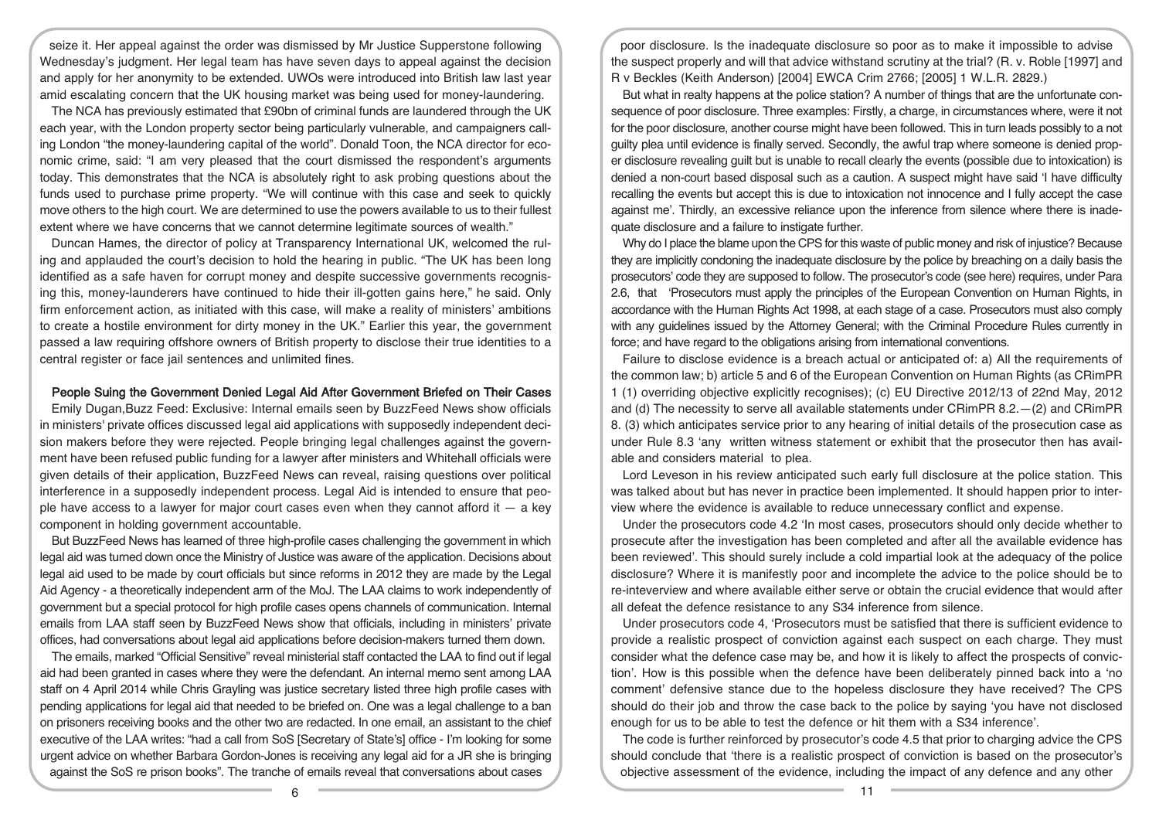seize it. Her appeal against the order was dismissed by Mr Justice Supperstone following Wednesday's judgment. Her legal team has have seven days to appeal against the decision and apply for her anonymity to be extended. UWOs were introduced into British law last year amid escalating concern that the UK housing market was being used for money-laundering.

The NCA has previously estimated that £90bn of criminal funds are laundered through the UK each year, with the London property sector being particularly vulnerable, and campaigners calling London "the money-laundering capital of the world". Donald Toon, the NCA director for economic crime, said: "I am very pleased that the court dismissed the respondent's arguments today. This demonstrates that the NCA is absolutely right to ask probing questions about the funds used to purchase prime property. "We will continue with this case and seek to quickly move others to the high court. We are determined to use the powers available to us to their fullest extent where we have concerns that we cannot determine legitimate sources of wealth."

Duncan Hames, the director of policy at Transparency International UK, welcomed the ruling and applauded the court's decision to hold the hearing in public. "The UK has been long identified as a safe haven for corrupt money and despite successive governments recognising this, money-launderers have continued to hide their ill-gotten gains here," he said. Only firm enforcement action, as initiated with this case, will make a reality of ministers' ambitions to create a hostile environment for dirty money in the UK." Earlier this year, the government passed a law requiring offshore owners of British property to disclose their true identities to a central register or face jail sentences and unlimited fines.

#### People Suing the Government Denied Legal Aid After Government Briefed on Their Cases

Emily Dugan,Buzz Feed: Exclusive: Internal emails seen by BuzzFeed News show officials in ministers' private offices discussed legal aid applications with supposedly independent decision makers before they were rejected. People bringing legal challenges against the government have been refused public funding for a lawyer after ministers and Whitehall officials were given details of their application, BuzzFeed News can reveal, raising questions over political interference in a supposedly independent process. Legal Aid is intended to ensure that people have access to a lawyer for major court cases even when they cannot afford it  $-$  a kev component in holding government accountable.

But BuzzFeed News has learned of three high-profile cases challenging the government in which legal aid was turned down once the Ministry of Justice was aware of the application. Decisions about legal aid used to be made by court officials but since reforms in 2012 they are made by the Legal Aid Agency - a theoretically independent arm of the MoJ. The LAA claims to work independently of government but a special protocol for high profile cases opens channels of communication. Internal emails from LAA staff seen by BuzzFeed News show that officials, including in ministers' private offices, had conversations about legal aid applications before decision-makers turned them down.

The emails, marked "Official Sensitive" reveal ministerial staff contacted the LAA to find out if legal aid had been granted in cases where they were the defendant. An internal memo sent among LAA staff on 4 April 2014 while Chris Grayling was justice secretary listed three high profile cases with pending applications for legal aid that needed to be briefed on. One was a legal challenge to a ban on prisoners receiving books and the other two are redacted. In one email, an assistant to the chief executive of the LAA writes: "had a call from SoS [Secretary of State's] office - I'm looking for some urgent advice on whether Barbara Gordon-Jones is receiving any legal aid for a JR she is bringing against the SoS re prison books". The tranche of emails reveal that conversations about cases

poor disclosure. Is the inadequate disclosure so poor as to make it impossible to advise the suspect properly and will that advice withstand scrutiny at the trial? (R. v. Roble [1997] and R v Beckles (Keith Anderson) [2004] EWCA Crim 2766; [2005] 1 W.L.R. 2829.)

But what in realty happens at the police station? A number of things that are the unfortunate consequence of poor disclosure. Three examples: Firstly, a charge, in circumstances where, were it not for the poor disclosure, another course might have been followed. This in turn leads possibly to a not guilty plea until evidence is finally served. Secondly, the awful trap where someone is denied proper disclosure revealing guilt but is unable to recall clearly the events (possible due to intoxication) is denied a non-court based disposal such as a caution. A suspect might have said 'I have difficulty recalling the events but accept this is due to intoxication not innocence and I fully accept the case against me'. Thirdly, an excessive reliance upon the inference from silence where there is inadequate disclosure and a failure to instigate further.

Why do I place the blame upon the CPS for this waste of public money and risk of injustice? Because they are implicitly condoning the inadequate disclosure by the police by breaching on a daily basis the prosecutors' code they are supposed to follow. The prosecutor's code (see here) requires, under Para 2.6, that 'Prosecutors must apply the principles of the European Convention on Human Rights, in accordance with the Human Rights Act 1998, at each stage of a case. Prosecutors must also comply with any guidelines issued by the Attorney General; with the Criminal Procedure Rules currently in force; and have regard to the obligations arising from international conventions.

Failure to disclose evidence is a breach actual or anticipated of: a) All the requirements of the common law; b) article 5 and 6 of the European Convention on Human Rights (as CRimPR 1 (1) overriding objective explicitly recognises); (c) EU Directive 2012/13 of 22nd May, 2012 and (d) The necessity to serve all available statements under CRimPR 8.2.—(2) and CRimPR 8. (3) which anticipates service prior to any hearing of initial details of the prosecution case as under Rule 8.3 'any written witness statement or exhibit that the prosecutor then has available and considers material to plea.

Lord Leveson in his review anticipated such early full disclosure at the police station. This was talked about but has never in practice been implemented. It should happen prior to interview where the evidence is available to reduce unnecessary conflict and expense.

Under the prosecutors code 4.2 'In most cases, prosecutors should only decide whether to prosecute after the investigation has been completed and after all the available evidence has been reviewed'. This should surely include a cold impartial look at the adequacy of the police disclosure? Where it is manifestly poor and incomplete the advice to the police should be to re-inteverview and where available either serve or obtain the crucial evidence that would after all defeat the defence resistance to any S34 inference from silence.

Under prosecutors code 4, 'Prosecutors must be satisfied that there is sufficient evidence to provide a realistic prospect of conviction against each suspect on each charge. They must consider what the defence case may be, and how it is likely to affect the prospects of conviction'. How is this possible when the defence have been deliberately pinned back into a 'no comment' defensive stance due to the hopeless disclosure they have received? The CPS should do their job and throw the case back to the police by saying 'you have not disclosed enough for us to be able to test the defence or hit them with a S34 inference'.

The code is further reinforced by prosecutor's code 4.5 that prior to charging advice the CPS should conclude that 'there is a realistic prospect of conviction is based on the prosecutor's objective assessment of the evidence, including the impact of any defence and any other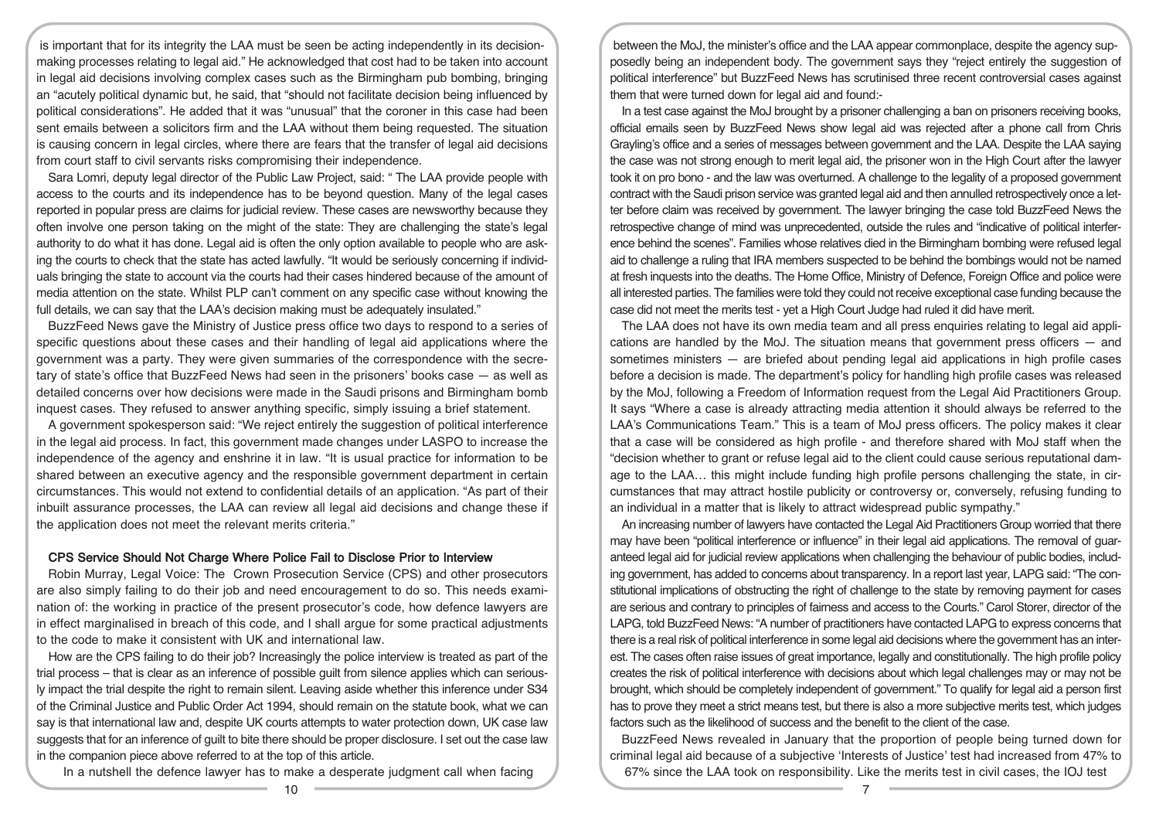is important that for its integrity the LAA must be seen be acting independently in its decisionmaking processes relating to legal aid." He acknowledged that cost had to be taken into account in legal aid decisions involving complex cases such as the Birmingham pub bombing, bringing an "acutely political dynamic but, he said, that "should not facilitate decision being influenced by political considerations". He added that it was "unusual" that the coroner in this case had been sent emails between a solicitors firm and the LAA without them being requested. The situation is causing concern in legal circles, where there are fears that the transfer of legal aid decisions from court staff to civil servants risks compromising their independence.

Sara Lomri, deputy legal director of the Public Law Project, said: " The LAA provide people with access to the courts and its independence has to be beyond question. Many of the legal cases reported in popular press are claims for judicial review. These cases are newsworthy because they often involve one person taking on the might of the state: They are challenging the state's legal authority to do what it has done. Legal aid is often the only option available to people who are asking the courts to check that the state has acted lawfully. "It would be seriously concerning if individuals bringing the state to account via the courts had their cases hindered because of the amount of media attention on the state. Whilst PLP can't comment on any specific case without knowing the full details, we can say that the LAA's decision making must be adequately insulated."

BuzzFeed News gave the Ministry of Justice press office two days to respond to a series of specific questions about these cases and their handling of legal aid applications where the government was a party. They were given summaries of the correspondence with the secretary of state's office that BuzzFeed News had seen in the prisoners' books case  $-$  as well as detailed concerns over how decisions were made in the Saudi prisons and Birmingham bomb inquest cases. They refused to answer anything specific, simply issuing a brief statement.

A government spokesperson said: "We reject entirely the suggestion of political interference in the legal aid process. In fact, this government made changes under LASPO to increase the independence of the agency and enshrine it in law. "It is usual practice for information to be shared between an executive agency and the responsible government department in certain circumstances. This would not extend to confidential details of an application. "As part of their inbuilt assurance processes, the LAA can review all legal aid decisions and change these if the application does not meet the relevant merits criteria."

#### CPS Service Should Not Charge Where Police Fail to Disclose Prior to Interview

Robin Murray, Legal Voice: The Crown Prosecution Service (CPS) and other prosecutors are also simply failing to do their job and need encouragement to do so. This needs examination of: the working in practice of the present prosecutor's code, how defence lawyers are in effect marginalised in breach of this code, and I shall argue for some practical adjustments to the code to make it consistent with UK and international law.

How are the CPS failing to do their job? Increasingly the police interview is treated as part of the trial process – that is clear as an inference of possible guilt from silence applies which can seriously impact the trial despite the right to remain silent. Leaving aside whether this inference under S34 of the Criminal Justice and Public Order Act 1994, should remain on the statute book, what we can say is that international law and, despite UK courts attempts to water protection down, UK case law suggests that for an inference of quilt to bite there should be proper disclosure. I set out the case law in the companion piece above referred to at the top of this article.

In a nutshell the defence lawyer has to make a desperate judgment call when facing

between the MoJ, the minister's office and the LAA appear commonplace, despite the agency supposedly being an independent body. The government says they "reject entirely the suggestion of political interference" but BuzzFeed News has scrutinised three recent controversial cases against them that were turned down for legal aid and found:-

In a test case against the MoJ brought by a prisoner challenging a ban on prisoners receiving books, official emails seen by BuzzFeed News show legal aid was rejected after a phone call from Chris Grayling's office and a series of messages between government and the LAA. Despite the LAA saying the case was not strong enough to merit legal aid, the prisoner won in the High Court after the lawyer took it on pro bono - and the law was overturned. A challenge to the legality of a proposed government contract with the Saudi prison service was granted legal aid and then annulled retrospectively once a letter before claim was received by government. The lawyer bringing the case told BuzzFeed News the retrospective change of mind was unprecedented, outside the rules and "indicative of political interference behind the scenes". Families whose relatives died in the Birmingham bombing were refused legal aid to challenge a ruling that IRA members suspected to be behind the bombings would not be named at fresh inquests into the deaths. The Home Office, Ministry of Defence, Foreign Office and police were all interested parties. The families were told they could not receive exceptional case funding because the case did not meet the merits test - yet a High Court Judge had ruled it did have merit.

The LAA does not have its own media team and all press enquiries relating to legal aid applications are handled by the MoJ. The situation means that government press officers — and sometimes ministers — are briefed about pending legal aid applications in high profile cases before a decision is made. The department's policy for handling high profile cases was released by the MoJ, following a Freedom of Information request from the Legal Aid Practitioners Group. It says "Where a case is already attracting media attention it should always be referred to the LAA's Communications Team." This is a team of MoJ press officers. The policy makes it clear that a case will be considered as high profile - and therefore shared with MoJ staff when the "decision whether to grant or refuse legal aid to the client could cause serious reputational damage to the LAA… this might include funding high profile persons challenging the state, in circumstances that may attract hostile publicity or controversy or, conversely, refusing funding to an individual in a matter that is likely to attract widespread public sympathy."

An increasing number of lawyers have contacted the Legal Aid Practitioners Group worried that there may have been "political interference or influence" in their legal aid applications. The removal of guaranteed legal aid for judicial review applications when challenging the behaviour of public bodies, including government, has added to concerns about transparency. In a report last year, LAPG said: "The constitutional implications of obstructing the right of challenge to the state by removing payment for cases are serious and contrary to principles of fairness and access to the Courts." Carol Storer, director of the LAPG, told BuzzFeed News: "A number of practitioners have contacted LAPG to express concerns that there is a real risk of political interference in some legal aid decisions where the government has an interest. The cases often raise issues of great importance, legally and constitutionally. The high profile policy creates the risk of political interference with decisions about which legal challenges may or may not be brought, which should be completely independent of government." To qualify for legal aid a person first has to prove they meet a strict means test, but there is also a more subjective merits test, which judges factors such as the likelihood of success and the benefit to the client of the case.

BuzzFeed News revealed in January that the proportion of people being turned down for criminal legal aid because of a subjective 'Interests of Justice' test had increased from 47% to 67% since the LAA took on responsibility. Like the merits test in civil cases, the IOJ test

10 7